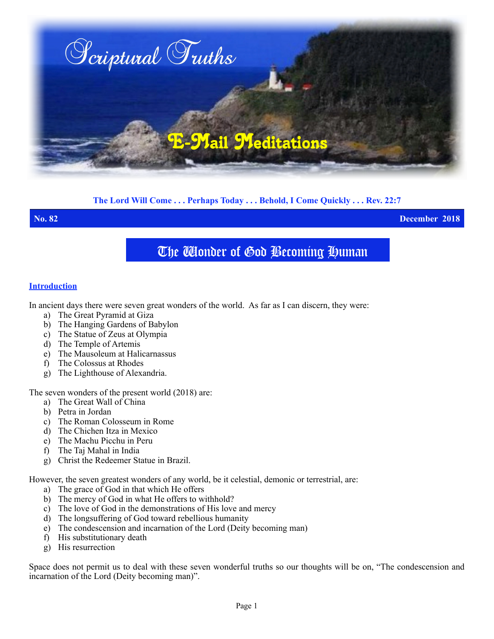

# **The Lord Will Come . . . Perhaps Today . . . Behold, I Come Quickly . . . Rev. 22:7**

**No. 82 December 2018**

# The Wonder of God Becoming Human

### **Introduction**

In ancient days there were seven great wonders of the world. As far as I can discern, they were:

- a) The Great Pyramid at Giza
- b) The Hanging Gardens of Babylon
- c) The Statue of Zeus at Olympia
- d) The Temple of Artemis
- e) The Mausoleum at Halicarnassus
- f) The Colossus at Rhodes
- g) The Lighthouse of Alexandria.

The seven wonders of the present world (2018) are:

- a) The Great Wall of China
- b) Petra in Jordan
- c) The Roman Colosseum in Rome
- d) The Chichen Itza in Mexico
- e) The Machu Picchu in Peru
- f) The Taj Mahal in India
- g) Christ the Redeemer Statue in Brazil.

However, the seven greatest wonders of any world, be it celestial, demonic or terrestrial, are:

- a) The grace of God in that which He offers
- b) The mercy of God in what He offers to withhold?
- c) The love of God in the demonstrations of His love and mercy
- d) The longsuffering of God toward rebellious humanity
- e) The condescension and incarnation of the Lord (Deity becoming man)
- f) His substitutionary death
- g) His resurrection

Space does not permit us to deal with these seven wonderful truths so our thoughts will be on, "The condescension and incarnation of the Lord (Deity becoming man)".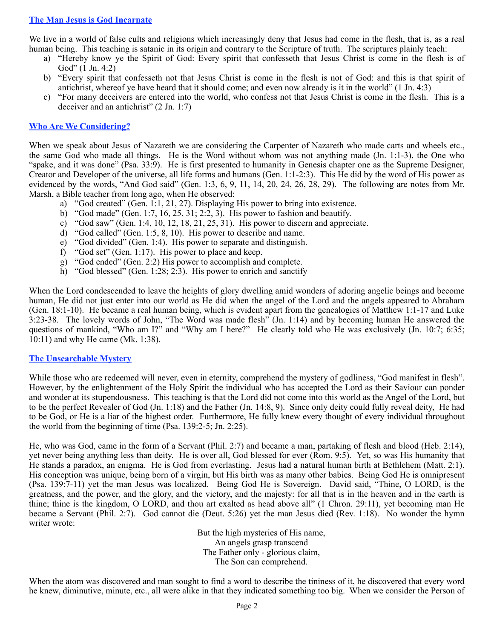# **The Man Jesus is God Incarnate**

We live in a world of false cults and religions which increasingly deny that Jesus had come in the flesh, that is, as a real human being. This teaching is satanic in its origin and contrary to the Scripture of truth. The scriptures plainly teach:

- a) "Hereby know ye the Spirit of God: Every spirit that confesseth that Jesus Christ is come in the flesh is of God" (1 Jn. 4:2)
- b) "Every spirit that confesseth not that Jesus Christ is come in the flesh is not of God: and this is that spirit of antichrist, whereof ye have heard that it should come; and even now already is it in the world" (1 Jn. 4:3)
- c) "For many deceivers are entered into the world, who confess not that Jesus Christ is come in the flesh. This is a deceiver and an antichrist" (2 Jn. 1:7)

## **Who Are We Considering?**

When we speak about Jesus of Nazareth we are considering the Carpenter of Nazareth who made carts and wheels etc., the same God who made all things. He is the Word without whom was not anything made (Jn. 1:1-3), the One who "spake, and it was done" (Psa. 33:9). He is first presented to humanity in Genesis chapter one as the Supreme Designer, Creator and Developer of the universe, all life forms and humans (Gen. 1:1-2:3). This He did by the word of His power as evidenced by the words, "And God said" (Gen. 1:3, 6, 9, 11, 14, 20, 24, 26, 28, 29). The following are notes from Mr. Marsh, a Bible teacher from long ago, when He observed:

- a) "God created" (Gen. 1:1, 21, 27). Displaying His power to bring into existence.
- b) "God made" (Gen. 1:7, 16, 25, 31; 2:2, 3). His power to fashion and beautify.
- c) "God saw" (Gen. 1:4, 10, 12, 18, 21, 25, 31). His power to discern and appreciate.
- d) "God called" (Gen. 1:5, 8, 10). His power to describe and name.
- e) "God divided" (Gen. 1:4). His power to separate and distinguish.
- f) "God set" (Gen. 1:17). His power to place and keep.
- g) "God ended" (Gen. 2:2) His power to accomplish and complete.
- h) "God blessed" (Gen. 1:28; 2:3). His power to enrich and sanctify

When the Lord condescended to leave the heights of glory dwelling amid wonders of adoring angelic beings and become human, He did not just enter into our world as He did when the angel of the Lord and the angels appeared to Abraham (Gen. 18:1-10). He became a real human being, which is evident apart from the genealogies of Matthew 1:1-17 and Luke 3:23-38. The lovely words of John, "The Word was made flesh" (Jn. 1:14) and by becoming human He answered the questions of mankind, "Who am I?" and "Why am I here?" He clearly told who He was exclusively (Jn. 10:7; 6:35; 10:11) and why He came (Mk. 1:38).

### **The Unsearchable Mystery**

While those who are redeemed will never, even in eternity, comprehend the mystery of godliness, "God manifest in flesh". However, by the enlightenment of the Holy Spirit the individual who has accepted the Lord as their Saviour can ponder and wonder at its stupendousness. This teaching is that the Lord did not come into this world as the Angel of the Lord, but to be the perfect Revealer of God (Jn. 1:18) and the Father (Jn. 14:8, 9). Since only deity could fully reveal deity, He had to be God, or He is a liar of the highest order. Furthermore, He fully knew every thought of every individual throughout the world from the beginning of time (Psa. 139:2-5; Jn. 2:25).

He, who was God, came in the form of a Servant (Phil. 2:7) and became a man, partaking of flesh and blood (Heb. 2:14), yet never being anything less than deity. He is over all, God blessed for ever (Rom. 9:5). Yet, so was His humanity that He stands a paradox, an enigma. He is God from everlasting. Jesus had a natural human birth at Bethlehem (Matt. 2:1). His conception was unique, being born of a virgin, but His birth was as many other babies. Being God He is omnipresent (Psa. 139:7-11) yet the man Jesus was localized. Being God He is Sovereign. David said, "Thine, O LORD, is the greatness, and the power, and the glory, and the victory, and the majesty: for all that is in the heaven and in the earth is thine; thine is the kingdom, O LORD, and thou art exalted as head above all" (1 Chron. 29:11), yet becoming man He became a Servant (Phil. 2:7). God cannot die (Deut. 5:26) yet the man Jesus died (Rev. 1:18). No wonder the hymn writer wrote:

> But the high mysteries of His name, An angels grasp transcend The Father only - glorious claim, The Son can comprehend.

When the atom was discovered and man sought to find a word to describe the tininess of it, he discovered that every word he knew, diminutive, minute, etc., all were alike in that they indicated something too big. When we consider the Person of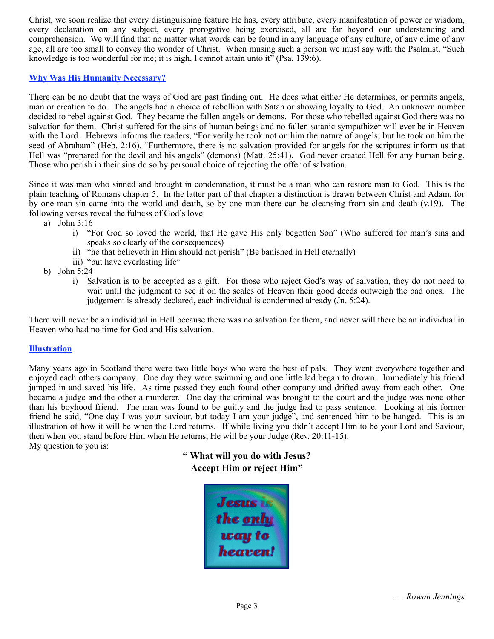Christ, we soon realize that every distinguishing feature He has, every attribute, every manifestation of power or wisdom, every declaration on any subject, every prerogative being exercised, all are far beyond our understanding and comprehension. We will find that no matter what words can be found in any language of any culture, of any clime of any age, all are too small to convey the wonder of Christ. When musing such a person we must say with the Psalmist, "Such knowledge is too wonderful for me; it is high, I cannot attain unto it" (Psa. 139:6).

# **Why Was His Humanity Necessary?**

There can be no doubt that the ways of God are past finding out. He does what either He determines, or permits angels, man or creation to do. The angels had a choice of rebellion with Satan or showing loyalty to God. An unknown number decided to rebel against God. They became the fallen angels or demons. For those who rebelled against God there was no salvation for them. Christ suffered for the sins of human beings and no fallen satanic sympathizer will ever be in Heaven with the Lord. Hebrews informs the readers, "For verily he took not on him the nature of angels; but he took on him the seed of Abraham" (Heb. 2:16). "Furthermore, there is no salvation provided for angels for the scriptures inform us that Hell was "prepared for the devil and his angels" (demons) (Matt. 25:41). God never created Hell for any human being. Those who perish in their sins do so by personal choice of rejecting the offer of salvation.

Since it was man who sinned and brought in condemnation, it must be a man who can restore man to God. This is the plain teaching of Romans chapter 5. In the latter part of that chapter a distinction is drawn between Christ and Adam, for by one man sin came into the world and death, so by one man there can be cleansing from sin and death (v.19). The following verses reveal the fulness of God's love:

- a) John 3:16
	- i) "For God so loved the world, that He gave His only begotten Son" (Who suffered for man's sins and speaks so clearly of the consequences)
	- ii) "he that believeth in Him should not perish" (Be banished in Hell eternally)
	- iii) "but have everlasting life"
- b) John 5:24
	- i) Salvation is to be accepted as a gift. For those who reject God's way of salvation, they do not need to wait until the judgment to see if on the scales of Heaven their good deeds outweigh the bad ones. The judgement is already declared, each individual is condemned already (Jn. 5:24).

There will never be an individual in Hell because there was no salvation for them, and never will there be an individual in Heaven who had no time for God and His salvation.

### **Illustration**

Many years ago in Scotland there were two little boys who were the best of pals. They went everywhere together and enjoyed each others company. One day they were swimming and one little lad began to drown. Immediately his friend jumped in and saved his life. As time passed they each found other company and drifted away from each other. One became a judge and the other a murderer. One day the criminal was brought to the court and the judge was none other than his boyhood friend. The man was found to be guilty and the judge had to pass sentence. Looking at his former friend he said, "One day I was your saviour, but today I am your judge", and sentenced him to be hanged. This is an illustration of how it will be when the Lord returns. If while living you didn't accept Him to be your Lord and Saviour, then when you stand before Him when He returns, He will be your Judge (Rev. 20:11-15). My question to you is:

> **" What will you do with Jesus? Accept Him or reject Him"**